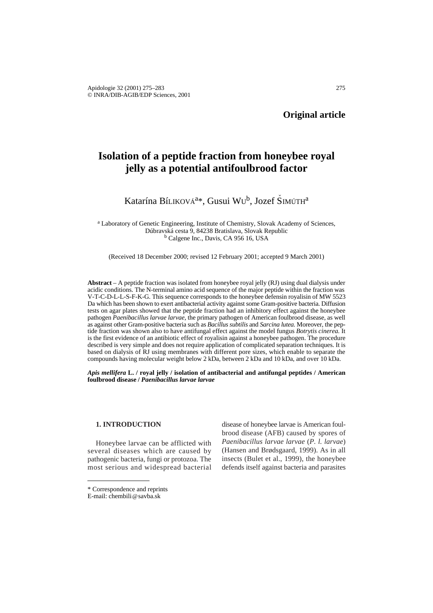# **Isolation of a peptide fraction from honeybee royal jelly as a potential antifoulbrood factor**

# Katarína Bíliková<sup>a</sup>\*, Gusui Wu<sup>b</sup>, Jozef Šimúth<sup>a</sup>

<sup>a</sup> Laboratory of Genetic Engineering, Institute of Chemistry, Slovak Academy of Sciences, Dúbravská cesta 9, 84238 Bratislava, Slovak Republic <sup>b</sup> Calgene Inc., Davis, CA 956 16, USA

(Received 18 December 2000; revised 12 February 2001; accepted 9 March 2001)

**Abstract** – A peptide fraction was isolated from honeybee royal jelly (RJ) using dual dialysis under acidic conditions. The N-terminal amino acid sequence of the major peptide within the fraction was V-T-C-D-L-L-S-F-K-G. This sequence corresponds to the honeybee defensin royalisin of MW 5523 Da which has been shown to exert antibacterial activity against some Gram-positive bacteria. Diffusion tests on agar plates showed that the peptide fraction had an inhibitory effect against the honeybee pathogen *Paenibacillus larvae larvae*, the primary pathogen of American foulbrood disease, as well as against other Gram-positive bacteria such as *Bacillus subtilis* and *Sarcina lutea.* Moreover, the peptide fraction was shown also to have antifungal effect against the model fungus *Botrytis cinerea.* It is the first evidence of an antibiotic effect of royalisin against a honeybee pathogen. The procedure described is very simple and does not require application of complicated separation techniques. It is based on dialysis of RJ using membranes with different pore sizes, which enable to separate the compounds having molecular weight below 2 kDa, between 2 kDa and 10 kDa, and over 10 kDa.

*Apis mellifera* **L. / royal jelly / isolation of antibacterial and antifungal peptides / American foulbrood disease /** *Paenibacillus larvae larvae*

#### **1. INTRODUCTION**

Honeybee larvae can be afflicted with several diseases which are caused by pathogenic bacteria, fungi or protozoa. The most serious and widespread bacterial

disease of honeybee larvae is American foulbrood disease (AFB) caused by spores of *Paenibacillus larvae larvae* (*P. l. larvae*) (Hansen and Brødsgaard, 1999). As in all insects (Bulet et al., 1999), the honeybee defends itself against bacteria and parasites

<sup>\*</sup> Correspondence and reprints

E-mail: chembili@savba.sk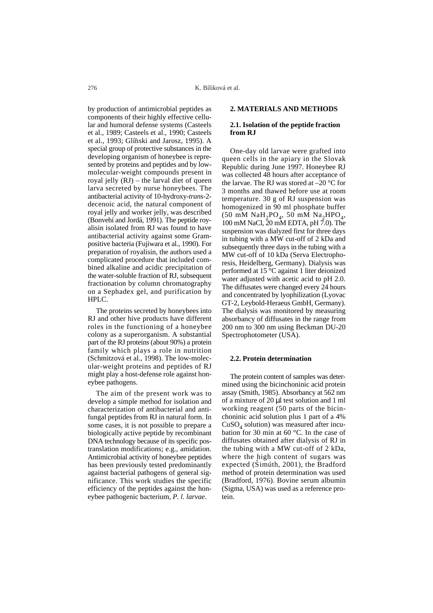by production of antimicrobial peptides as components of their highly effective cellular and humoral defense systems (Casteels et al., 1989; Casteels et al., 1990; Casteels et al., 1993; Gliňski and Jarosz, 1995). A special group of protective substances in the developing organism of honeybee is represented by proteins and peptides and by lowmolecular-weight compounds present in royal jelly (RJ) – the larval diet of queen larva secreted by nurse honeybees. The antibacterial activity of 10-hydroxy-*trans*-2 decenoic acid, the natural component of royal jelly and worker jelly, was described (Bonvehí and Jordá, 1991). The peptide royalisin isolated from RJ was found to have antibacterial activity against some Grampositive bacteria (Fujiwara et al., 1990). For preparation of royalisin, the authors used a complicated procedure that included combined alkaline and acidic precipitation of the water-soluble fraction of RJ, subsequent fractionation by column chromatography on a Sephadex gel, and purification by HPLC.

The proteins secreted by honeybees into RJ and other hive products have different roles in the functioning of a honeybee colony as a superorganism. A substantial part of the RJ proteins (about 90%) a protein family which plays a role in nutrition (Schmitzová et al., 1998). The low-molecular-weight proteins and peptides of RJ might play a host-defense role against honeybee pathogens.

The aim of the present work was to develop a simple method for isolation and characterization of antibacterial and antifungal peptides from RJ in natural form. In some cases, it is not possible to prepare a biologically active peptide by recombinant DNA technology because of its specific postranslation modifications; e.g., amidation. Antimicrobial activity of honeybee peptides has been previously tested predominantly against bacterial pathogens of general significance. This work studies the specific efficiency of the peptides against the honeybee pathogenic bacterium, *P. l. larvae*.

### **2. MATERIALS AND METHODS**

# **2.1. Isolation of the peptide fraction from RJ**

One-day old larvae were grafted into queen cells in the apiary in the Slovak Republic during June 1997. Honeybee RJ was collected 48 hours after acceptance of the larvae. The RJ was stored at  $-20$  °C for 3 months and thawed before use at room temperature. 30 g of RJ suspension was homogenized in 90 ml phosphate buffer (50 mM NaH<sub>2</sub>PO<sub>4</sub>, 50 mM Na<sub>2</sub>HPO<sub>4</sub>, 100 mM NaCl, 20 mM EDTA, pH 7.0). The suspension was dialyzed first for three days in tubing with a MW cut-off of 2 kDa and subsequently three days in the tubing with a MW cut-off of 10 kDa (Serva Electrophoresis, Heidelberg, Germany). Dialysis was performed at 15 °C against 1 liter deionized water adjusted with acetic acid to pH 2.0. The diffusates were changed every 24 hours and concentrated by lyophilization (Lyovac GT-2, Leybold-Heraeus GmbH, Germany). The dialysis was monitored by measuring absorbancy of diffusates in the range from 200 nm to 300 nm using Beckman DU-20 Spectrophotometer (USA).

#### **2.2. Protein determination**

The protein content of samples was determined using the bicinchoninic acid protein assay (Smith, 1985). Absorbancy at 562 nm of a mixture of 20 µl test solution and 1 ml working reagent (50 parts of the bicinchoninic acid solution plus 1 part of a 4%  $CuSO<sub>4</sub>$  solution) was measured after incubation for 30 min at 60 °C. In the case of diffusates obtained after dialysis of RJ in the tubing with a MW cut-off of 2 kDa, where the high content of sugars was expected (Simúth, 2001), the Bradford<br>method of pretain determination was used method of protein determination was used (Bradford, 1976). Bovine serum albumin (Sigma, USA) was used as a reference protein.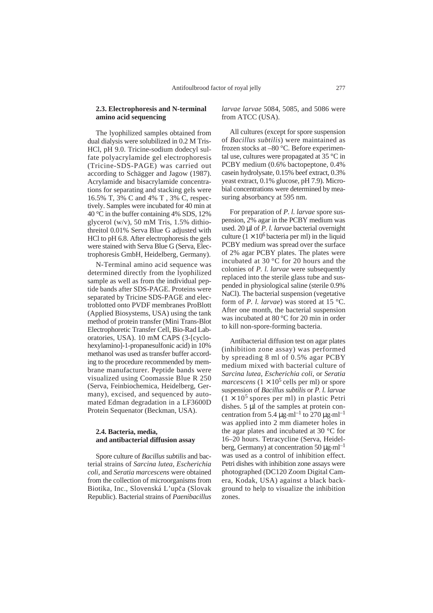#### **2.3. Electrophoresis and N-terminal amino acid sequencing**

The lyophilized samples obtained from dual dialysis were solubilized in 0.2 M Tris-HCl, pH 9.0. Tricine-sodium dodecyl sulfate polyacrylamide gel electrophoresis (Tricine-SDS-PAGE) was carried out according to Schägger and Jagow (1987). Acrylamide and bisacrylamide concentrations for separating and stacking gels were 16.5% T, 3% C and 4% T , 3% C, respectively. Samples were incubated for 40 min at 40 °C in the buffer containing 4% SDS, 12% glycerol (w/v), 50 mM Tris,  $1.5\%$  dithiothreitol 0.01% Serva Blue G adjusted with HCl to pH 6.8. After electrophoresis the gels were stained with Serva Blue G (Serva, Electrophoresis GmbH, Heidelberg, Germany).

N-Terminal amino acid sequence was determined directly from the lyophilized sample as well as from the individual peptide bands after SDS-PAGE. Proteins were separated by Tricine SDS-PAGE and electroblotted onto PVDF membranes ProBlott (Applied Biosystems, USA) using the tank method of protein transfer (Mini Trans-Blot Electrophoretic Transfer Cell, Bio-Rad Laboratories, USA). 10 mM CAPS (3-[cyclohexylamino]-1-propanesulfonic acid) in 10% methanol was used as transfer buffer according to the procedure recommended by membrane manufacturer. Peptide bands were visualized using Coomassie Blue R 250 (Serva, Feinbiochemica, Heidelberg, Germany), excised, and sequenced by automated Edman degradation in a LF3600D Protein Sequenator (Beckman, USA).

#### **2.4. Bacteria, media, and antibacterial diffusion assay**

Spore culture of *Bacillus subtilis* and bacterial strains of *Sarcina lutea*, *Escherichia coli*, and *Seratia marcescens* were obtained from the collection of microorganisms from Biotika, Inc., Slovenská L'upča (Slovak Republic). Bacterial strains of *Paenibacillus* *larvae larvae* 5084, 5085, and 5086 were from ATCC (USA).

All cultures (except for spore suspension of *Bacillus subtilis*) were maintained as frozen stocks at –80 °C. Before experimental use, cultures were propagated at 35 °C in PCBY medium (0.6% bactopeptone, 0.4% casein hydrolysate, 0.15% beef extract, 0.3% yeast extract, 0.1% glucose, pH 7.9). Microbial concentrations were determined by measuring absorbancy at 595 nm.

For preparation of *P. l. larvae* spore suspension, 2% agar in the PCBY medium was used. 20 ul of *P. l. larvae* bacterial overnight culture ( $1 \times 10^6$  bacteria per ml) in the liquid PCBY medium was spread over the surface of 2% agar PCBY plates. The plates were incubated at 30 $\degree$ C for 20 hours and the colonies of *P. l. larvae* were subsequently replaced into the sterile glass tube and suspended in physiological saline (sterile 0.9% NaCl). The bacterial suspension (vegetative form of *P. l. larvae*) was stored at 15 °C. After one month, the bacterial suspension was incubated at 80 °C for 20 min in order to kill non-spore-forming bacteria.

Antibacterial diffusion test on agar plates (inhibition zone assay) was performed by spreading 8 ml of 0.5% agar PCBY medium mixed with bacterial culture of *Sarcina lutea*, *Escherichia coli*, or *Seratia marcescens*  $(1 \times 10^5 \text{ cells per ml})$  or spore suspension of *Bacillus subtilis* or *P. l. larvae*  $(1 \times 10^5$  spores per ml) in plastic Petri dishes. 5 µl of the samples at protein concentration from 5.4  $\mu$ g·ml<sup>-1</sup> to 270  $\mu$ g·ml<sup>-1</sup> was applied into 2 mm diameter holes in the agar plates and incubated at 30 °C for 16–20 hours. Tetracycline (Serva, Heidelberg, Germany) at concentration 50  $\mu$ g·ml<sup>-1</sup> was used as a control of inhibition effect. Petri dishes with inhibition zone assays were photographed (DC120 Zoom Digital Camera, Kodak, USA) against a black background to help to visualize the inhibition zones.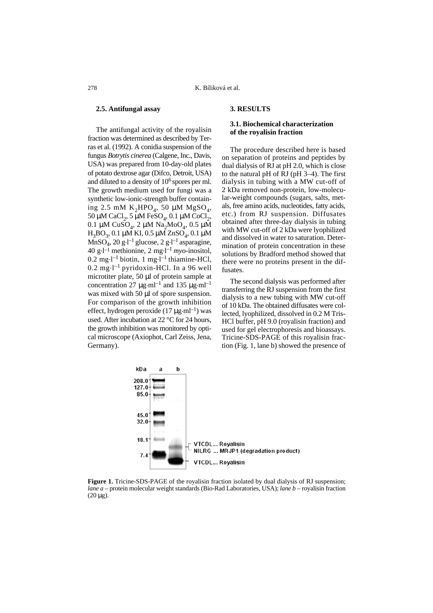#### **2.5. Antifungal assay**

The antifungal activity of the royalisin fraction was determined as described by Terras et al. (1992). A conidia suspension of the fungus *Botrytis cinerea* (Calgene, Inc., Davis, USA) was prepared from 10-day-old plates of potato dextrose agar (Difco, Detroit, USA) and diluted to a density of  $10<sup>6</sup>$  spores per ml. The growth medium used for fungi was a synthetic low-ionic-strength buffer containing 2.5 mM  $K_2HPO_4$ , 50 µM MgSO<sub>4</sub>, 50 µM CaCl<sub>2</sub>, 5 µM FeSO<sub>4</sub>, 0.1 µM CoCl<sub>2</sub>, 0.1 μM CuSO<sub>4</sub>, 2 μM Na<sub>2</sub>MoO<sub>4</sub>, 0.5 μM  $H_3BO_3$ , 0.1 μM KI, 0.5 μM ZnSO<sub>4</sub>, 0.1 μM  $\widetilde{\text{MnSO}_4}$ , 20 g·l<sup>-1</sup> glucose, 2 g·l<sup>-1</sup> asparagine, 40 g $\cdot$ l<sup>-1</sup> methionine, 2 mg $\cdot$ l<sup>-1</sup> *myo*-inositol,  $0.2 \text{ mg-l}^{-1}$  biotin, 1 mg $\cdot$ l<sup>-1</sup> thiamine-HCl,  $0.2 \text{ mg-l}^{-1}$  pyridoxin-HCl. In a 96 well microtiter plate, 50 µl of protein sample at concentration 27  $\mu$ g·ml<sup>-1</sup> and 135  $\mu$ g·ml<sup>-1</sup> was mixed with 50  $\mu$ l of spore suspension. For comparison of the growth inhibition effect, hydrogen peroxide (17  $\mu$ g·ml<sup>-1</sup>) was used. After incubation at 22 °C for 24 hours, the growth inhibition was monitored by optical microscope (Axiophot, Carl Zeiss, Jena, Germany).

#### **3. RESULTS**

## **3.1. Biochemical characterization of the royalisin fraction**

The procedure described here is based on separation of proteins and peptides by dual dialysis of RJ at pH 2.0, which is close to the natural pH of RJ (pH 3–4). The first dialysis in tubing with a MW cut-off of 2 kDa removed non-protein, low-molecular-weight compounds (sugars, salts, metals, free amino acids, nucleotides, fatty acids, etc.) from RJ suspension. Diffusates obtained after three-day dialysis in tubing with MW cut-off of 2 kDa were lyophilized and dissolved in water to saturation. Determination of protein concentration in these solutions by Bradford method showed that there were no proteins present in the diffusates.

The second dialysis was performed after transferring the RJ suspension from the first dialysis to a new tubing with MW cut-off of 10 kDa. The obtained diffusates were collected, lyophilized, dissolved in 0.2 M Tris-HCl buffer, pH 9.0 (royalisin fraction) and used for gel electrophoresis and bioassays. Tricine-SDS-PAGE of this royalisin fraction (Fig. 1, lane b) showed the presence of



**Figure 1.** Tricine-SDS-PAGE of the royalisin fraction isolated by dual dialysis of RJ suspension; *lane a –* protein molecular weight standards (Bio-Rad Laboratories, USA); *lane b* – royalisin fraction  $(20 \,\mu g)$ .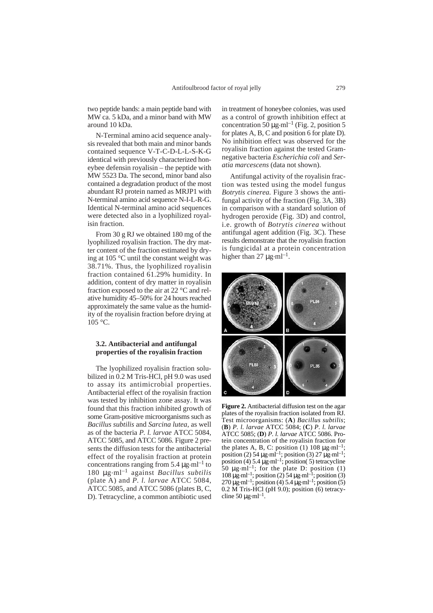two peptide bands: a main peptide band with MW ca. 5 kDa, and a minor band with MW around 10 kDa.

N-Terminal amino acid sequence analysis revealed that both main and minor bands contained sequence V-T-C-D-L-L-S-K-G identical with previously characterized honeybee defensin royalisin – the peptide with MW 5523 Da. The second, minor band also contained a degradation product of the most abundant RJ protein named as MRJP1 with N-terminal amino acid sequence N-I-L-R-G. Identical N-terminal amino acid sequences were detected also in a lyophilized royalisin fraction.

From 30 g RJ we obtained 180 mg of the lyophilized royalisin fraction. The dry matter content of the fraction estimated by drying at 105 °C until the constant weight was 38.71%. Thus, the lyophilized royalisin fraction contained 61.29% humidity. In addition, content of dry matter in royalisin fraction exposed to the air at 22 °C and relative humidity 45–50% for 24 hours reached approximately the same value as the humidity of the royalisin fraction before drying at 105 °C.

#### **3.2. Antibacterial and antifungal properties of the royalisin fraction**

The lyophilized royalisin fraction solubilized in 0.2 M Tris-HCl, pH 9.0 was used to assay its antimicrobial properties. Antibacterial effect of the royalisin fraction was tested by inhibition zone assay. It was found that this fraction inhibited growth of some Gram-positive microorganisms such as *Bacillus subtilis* and *Sarcina lutea*, as well as of the bacteria *P. l. larvae* ATCC 5084, ATCC 5085, and ATCC 5086. Figure 2 presents the diffusion tests for the antibacterial effect of the royalisin fraction at protein concentrations ranging from 5.4  $\mu$ g.ml<sup>-1</sup> to 180 µg.ml–1 against *Bacillus subtilis* (plate A) and *P. l. larvae* ATCC 5084, ATCC 5085, and ATCC 5086 (plates B, C, D). Tetracycline, a common antibiotic used

in treatment of honeybee colonies, was used as a control of growth inhibition effect at concentration  $50 \mu$ g·ml<sup>-1</sup> (Fig. 2, position 5) for plates A, B, C and position 6 for plate D). No inhibition effect was observed for the royalisin fraction against the tested Gramnegative bacteria *Escherichia coli* and *Seratia marcescens* (data not shown).

Antifungal activity of the royalisin fraction was tested using the model fungus *Botrytis cinerea.* Figure 3 shows the antifungal activity of the fraction (Fig. 3A, 3B) in comparison with a standard solution of hydrogen peroxide (Fig. 3D) and control, i.e. growth of *Botrytis cinerea* without antifungal agent addition (Fig. 3C). These results demonstrate that the royalisin fraction is fungicidal at a protein concentration higher than 27  $\mu$ g·ml<sup>-1</sup>.



**Figure 2.** Antibacterial diffusion test on the agar plates of the royalisin fraction isolated from RJ. Test microorganisms: (**A**) *Bacillus subtilis*; (**B**) *P. l. larvae* ATCC 5084; (**C**) *P. l. larvae* ATCC 5085; (**D**) *P. l. larvae* ATCC 5086. Protein concentration of the royalisin fraction for the plates A, B, C: position (1) 108  $\mu$ g·ml<sup>-1</sup>; position (2) 54  $\mu$ g·ml<sup>-1</sup>; position (3) 27  $\mu$ g·ml<sup>-1</sup>; position (4)  $5.4 \mu$ g·ml<sup>-1</sup>; position(5) tetracycline 50  $\mu$ g·ml<sup>-1</sup>; for the plate D: position (1)  $108 \mu\text{g} \cdot \text{ml}^{-1}$ ; position (2) 54  $\mu\text{g} \cdot \text{ml}^{-1}$ ; position (3)  $270 \mu\text{g} \cdot \text{ml}^{-1}$ ; position (4)  $5.4 \mu\text{g} \cdot \text{ml}^{-1}$ ; position (5) 0.2 M Tris-HCl (pH 9.0); position (6) tetracycline 50  $\mu$ g·ml<sup>-1</sup>.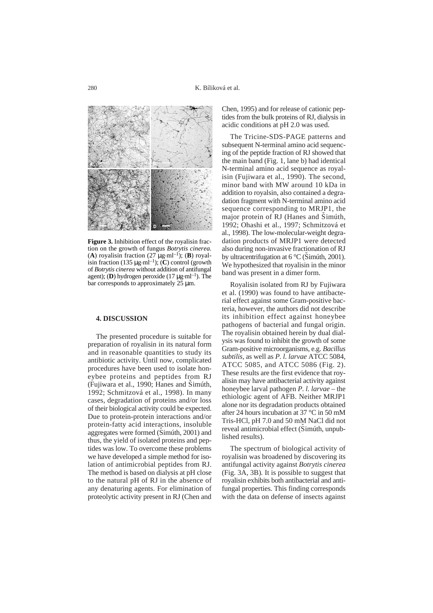

**Figure 3.** Inhibition effect of the royalisin fraction on the growth of fungus *Botrytis cinerea.* (A) royalisin fraction  $(27 \mu g \cdot ml^{-1})$ ; (B) royalisin fraction (135  $\mu$ g·ml<sup>-1</sup>); (**C**) control (growth of *Botrytis cinerea* without addition of antifungal agent); (**D**) hydrogen peroxide (17  $\mu$ g·ml<sup>-1</sup>). The bar corresponds to approximately 25 µm.

#### **4. DISCUSSION**

The presented procedure is suitable for preparation of royalisin in its natural form and in reasonable quantities to study its antibiotic activity. Until now, complicated procedures have been used to isolate honeybee proteins and peptides from RJ (Fujiwara et al., 1990; Hanes and Simúth,  $1002 \cdot$  September 2008). In many 1992; Schmitzová et al., 1998). In many cases, degradation of proteins and/or loss of their biological activity could be expected. Due to protein-protein interactions and/or protein-fatty acid interactions, insoluble aggregates were formed (Simúth, 2001) and<br>thus, the viald of isolated proteins and nonthus, the yield of isolated proteins and peptides was low. To overcome these problems we have developed a simple method for isolation of antimicrobial peptides from RJ. The method is based on dialysis at pH close to the natural pH of RJ in the absence of any denaturing agents. For elimination of proteolytic activity present in RJ (Chen and

Chen, 1995) and for release of cationic peptides from the bulk proteins of RJ, dialysis in acidic conditions at pH 2.0 was used.

The Tricine-SDS-PAGE patterns and subsequent N-terminal amino acid sequencing of the peptide fraction of RJ showed that the main band (Fig. 1, lane b) had identical N-terminal amino acid sequence as royalisin (Fujiwara et al., 1990). The second, minor band with MW around 10 kDa in addition to royalsin, also contained a degradation fragment with N-terminal amino acid sequence corresponding to MRJP1, the major protein of RJ (Hanes and Simúth,<br>1002: Obashi et al., 1007: Sehmitzevé at 1992; Ohashi et al., 1997; Schmitzová et al., 1998). The low-molecular-weight degradation products of MRJP1 were detected also during non-invasive fractionation of RJ by ultracentrifugation at 6 °C (Simúth, 2001).<br>We hypothesized that revolisin in the minor We hypothesized that royalisin in the minor band was present in a dimer form.

Royalisin isolated from RJ by Fujiwara et al. (1990) was found to have antibacterial effect against some Gram-positive bacteria, however, the authors did not describe its inhibition effect against honeybee pathogens of bacterial and fungal origin. The royalisin obtained herein by dual dialysis was found to inhibit the growth of some Gram-positive microorganisms, e.g. *Bacillus subtilis,* as well as *P. l. larvae* ATCC 5084, ATCC 5085, and ATCC 5086 (Fig. 2). These results are the first evidence that royalisin may have antibacterial activity against honeybee larval pathogen *P. l. larvae –* the ethiologic agent of AFB. Neither MRJP1 alone nor its degradation products obtained after 24 hours incubation at 37 °C in 50 mM Tris-HCl, pH 7.0 and 50 mM NaCl did not reveal antimicrobial effect (Simúth, unpublished results).

The spectrum of biological activity of royalisin was broadened by discovering its antifungal activity against *Botrytis cinerea* (Fig. 3A, 3B)*.* It is possible to suggest that royalisin exhibits both antibacterial and antifungal properties. This finding corresponds with the data on defense of insects against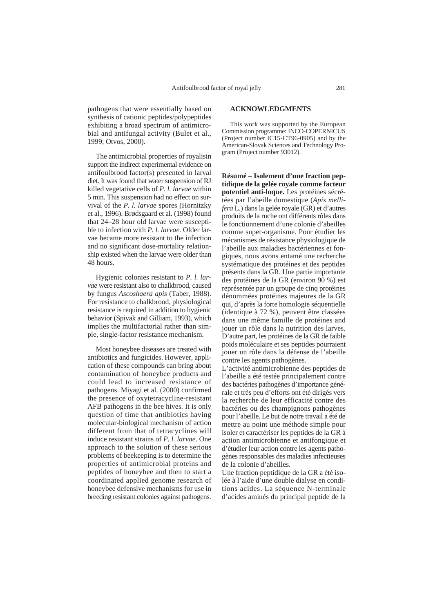pathogens that were essentially based on synthesis of cationic peptides/polypeptides exhibiting a broad spectrum of antimicrobial and antifungal activity (Bulet et al., 1999; Otvos, 2000).

The antimicrobial properties of royalisin support the indirect experimental evidence on antifoulbrood factor(s) presented in larval diet. It was found that water suspension of RJ killed vegetative cells of *P. l. larvae* within 5 min. This suspension had no effect on survival of the *P. l. larvae* spores (Hornitzky et al., 1996). Brødsgaard et al. (1998) found that 24–28 hour old larvae were susceptible to infection with *P. l. larvae.* Older larvae became more resistant to the infection and no significant dose-mortality relationship existed when the larvae were older than 48 hours.

Hygienic colonies resistant to *P. l. larvae* were resistant also to chalkbrood, caused by fungus *Ascoshaera apis* (Taber, 1988). For resistance to chalkbrood, physiological resistance is required in addition to hygienic behavior (Spivak and Gilliam, 1993), which implies the multifactorial rather than simple, single-factor resistance mechanism.

Most honeybee diseases are treated with antibiotics and fungicides. However, application of these compounds can bring about contamination of honeybee products and could lead to increased resistance of pathogens. Miyagi et al. (2000) confirmed the presence of oxytetracycline-resistant AFB pathogens in the bee hives. It is only question of time that antibiotics having molecular-biological mechanism of action different from that of tetracyclines will induce resistant strains of *P. l. larvae*. One approach to the solution of these serious problems of beekeeping is to determine the properties of antimicrobial proteins and peptides of honeybee and then to start a coordinated applied genome research of honeybee defensive mechanisms for use in breeding resistant colonies against pathogens.

# **ACKNOWLEDGMENTS**

This work was supported by the European Commission programme: INCO-COPERNICUS (Project number IC15-CT96-0905) and by the American-Slovak Sciences and Technology Program (Project number 93012).

**Résumé – Isolement d'une fraction peptidique de la gelée royale comme facteur potentiel anti-loque.** Les protéines sécrétées par l'abeille domestique (*Apis mellifera* L.) dans la gelée royale (GR) et d'autres produits de la ruche ont différents rôles dans le fonctionnement d'une colonie d'abeilles comme super-organisme. Pour étudier les mécanismes de résistance physiologique de l'abeille aux maladies bactériennes et fongiques, nous avons entamé une recherche systématique des protéines et des peptides présents dans la GR. Une partie importante des protéines de la GR (environ 90 %) est représentée par un groupe de cinq protéines dénommées protéines majeures de la GR qui, d'après la forte homologie séquentielle (identique à 72 %), peuvent être classées dans une même famille de protéines and jouer un rôle dans la nutrition des larves. D'autre part, les protéines de la GR de faible poids moléculaire et ses peptides pourraient jouer un rôle dans la défense de l'abeille contre les agents pathogènes.

L'activité antimicrobienne des peptides de l'abeille a été testée principalement contre des bactéries pathogènes d'importance générale et très peu d'efforts ont été dirigés vers la recherche de leur efficacité contre des bactéries ou des champignons pathogènes pour l'abeille. Le but de notre travail a été de mettre au point une méthode simple pour isoler et caractériser les peptides de la GR à action antimicrobienne et antifongique et d'étudier leur action contre les agents pathogènes responsables des maladies infectieuses de la colonie d'abeilles.

Une fraction peptidique de la GR a été isolée à l'aide d'une double dialyse en conditions acides. La séquence N-terminale d'acides aminés du principal peptide de la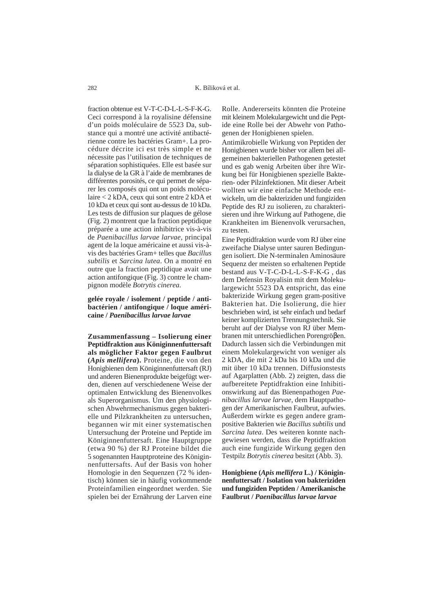fraction obtenue est V-T-C-D-L-L-S-F-K-G. Ceci correspond à la royalisine défensine d'un poids moléculaire de 5523 Da, substance qui a montré une activité antibactérienne contre les bactéries Gram+. La procédure décrite ici est très simple et ne nécessite pas l'utilisation de techniques de séparation sophistiquées. Elle est basée sur la dialyse de la GR à l'aide de membranes de différentes porosités, ce qui permet de séparer les composés qui ont un poids moléculaire < 2 kDA, ceux qui sont entre 2 kDA et 10 kDa et ceux qui sont au-dessus de 10 kDa. Les tests de diffusion sur plaques de gélose (Fig. 2) montrent que la fraction peptidique préparée a une action inhibitrice vis-à-vis de *Paenibacillus larvae larvae*, principal agent de la loque américaine et aussi vis-àvis des bactéries Gram+ telles que *Bacillus subtilis* et *Sarcina lutea*. On a montré en outre que la fraction peptidique avait une action antifongique (Fig. 3) contre le champignon modèle *Botrytis cinerea*.

**gelée royale / isolement / peptide / antibactérien / antifongique / loque américaine /** *Paenibacillus larvae larvae*

**Zusammenfassung – Isolierung einer Peptidfraktion aus Königinnenfuttersaft als möglicher Faktor gegen Faulbrut (***Apis mellifera***).** Proteine, die von den Honigbienen dem Königinnenfuttersaft (RJ) und anderen Bienenprodukte beigefügt werden, dienen auf verschiedenene Weise der optimalen Entwicklung des Bienenvolkes als Superorganismus. Um den physiologischen Abwehrmechanismus gegen bakterielle und Pilzkrankheiten zu untersuchen, begannen wir mit einer systematischen Untersuchung der Proteine und Peptide im Königinnenfuttersaft. Eine Hauptgruppe (etwa 90 %) der RJ Proteine bildet die 5 sogenannten Hauptproteine des Königinnenfuttersafts. Auf der Basis von hoher Homologie in den Sequenzen (72 % identisch) können sie in häufig vorkommende Proteinfamilien eingeordnet werden. Sie spielen bei der Ernährung der Larven eine

Rolle. Andererseits könnten die Proteine mit kleinem Molekulargewicht und die Peptide eine Rolle bei der Abwehr von Pathogenen der Honigbienen spielen.

Antimikrobielle Wirkung von Peptiden der Honigbienen wurde bisher vor allem bei allgemeinen bakteriellen Pathogenen getestet und es gab wenig Arbeiten über ihre Wirkung bei für Honigbienen spezielle Bakterien- oder Pilzinfektionen. Mit dieser Arbeit wollten wir eine einfache Methode entwickeln, um die bakteriziden und fungiziden Peptide des RJ zu isolieren, zu charakterisieren und ihre Wirkung auf Pathogene, die Krankheiten im Bienenvolk verursachen, zu testen.

Eine Peptidfraktion wurde vom RJ über eine zweifache Dialyse unter sauren Bedingungen isoliert. Die N-terminalen Aminosäure Sequenz der meisten so erhaltenen Peptide bestand aus V-T-C-D-L-L-S-F-K-G , das dem Defensin Royalisin mit dem Molekulargewicht 5523 DA entspricht, das eine bakterizide Wirkung gegen gram-positive Bakterien hat. Die Isolierung, die hier beschrieben wird, ist sehr einfach und bedarf keiner komplizierten Trennungstechnik. Sie beruht auf der Dialyse von RJ über Membranen mit unterschiedlichen Porengröβen. Dadurch lassen sich die Verbindungen mit einem Molekulargewicht von weniger als 2 kDA, die mit 2 kDa bis 10 kDa und die mit über 10 kDa trennen. Diffusionstests auf Agarplatten (Abb. 2) zeigten, dass die aufbereitete Peptidfraktion eine Inhibitionswirkung auf das Bienenpathogen *Paenibacillus larvae larvae,* dem Hauptpathogen der Amerikanischen Faulbrut, aufwies. Außerdem wirkte es gegen andere grampositive Bakterien wie *Bacillus subtilis* und *Sarcina lutea*. Des weiteren konnte nachgewiesen werden, dass die Peptidfraktion auch eine fungizide Wirkung gegen den Testpilz *Botrytis cinerea* besitzt (Abb. 3).

**Honigbiene (***Apis mellifera* **L.) / Königinnenfuttersaft / Isolation von bakteriziden und fungiziden Peptiden / Amerikanische Faulbrut /** *Paenibacillus larvae larvae*